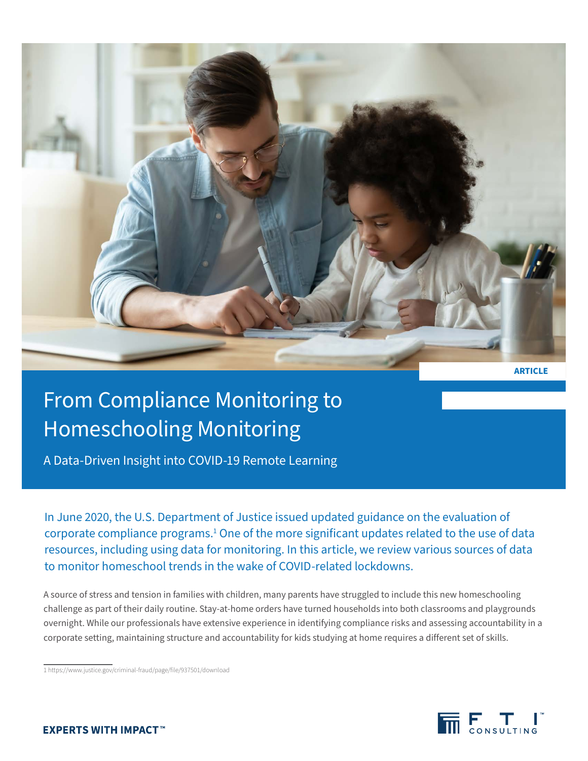

**ARTICLE**

# From Compliance Monitoring to Homeschooling Monitoring

A Data-Driven Insight into COVID-19 Remote Learning

In June 2020, the U.S. Department of Justice issued updated guidance on the evaluation of corporate compliance programs.<sup>1</sup> One of the more significant updates related to the use of data resources, including using data for monitoring. In this article, we review various sources of data to monitor homeschool trends in the wake of COVID-related lockdowns.

A source of stress and tension in families with children, many parents have struggled to include this new homeschooling challenge as part of their daily routine. Stay-at-home orders have turned households into both classrooms and playgrounds overnight. While our professionals have extensive experience in identifying compliance risks and assessing accountability in a corporate setting, maintaining structure and accountability for kids studying at home requires a different set of skills.

1 https://www.justice.gov/criminal-fraud/page/file/937501/download

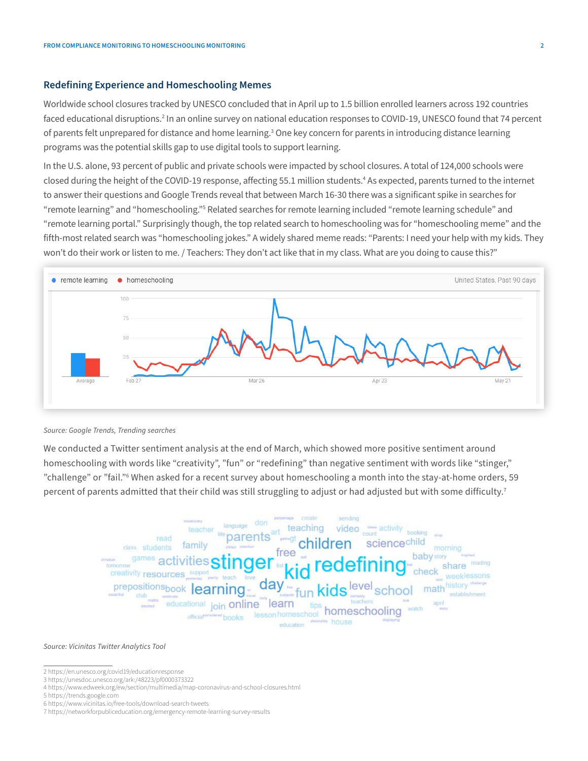### **Redefining Experience and Homeschooling Memes**

Worldwide school closures tracked by UNESCO concluded that in April up to 1.5 billion enrolled learners across 192 countries faced educational disruptions.2 In an online survey on national education responses to COVID-19, UNESCO found that 74 percent of parents felt unprepared for distance and home learning.<sup>3</sup> One key concern for parents in introducing distance learning programs was the potential skills gap to use digital tools to support learning.

In the U.S. alone, 93 percent of public and private schools were impacted by school closures. A total of 124,000 schools were closed during the height of the COVID-19 response, affecting 55.1 million students.4 As expected, parents turned to the internet to answer their questions and Google Trends reveal that between March 16-30 there was a significant spike in searches for "remote learning" and "homeschooling."<sup>5</sup> Related searches for remote learning included "remote learning schedule" and "remote learning portal." Surprisingly though, the top related search to homeschooling was for "homeschooling meme" and the fifth-most related search was "homeschooling jokes." A widely shared meme reads: "Parents: I need your help with my kids. They won't do their work or listen to me. / Teachers: They don't act like that in my class. What are you doing to cause this?"



*Source: Google Trends, Trending searches* 

We conducted a Twitter sentiment analysis at the end of March, which showed more positive sentiment around homeschooling with words like "creativity", "fun" or "redefining" than negative sentiment with words like "stinger," "challenge" or "fail."6 When asked for a recent survey about homeschooling a month into the stay-at-home orders, 59 percent of parents admitted that their child was still struggling to adjust or had adjusted but with some difficulty.<sup>7</sup>



#### *Source: Vicinitas Twitter Analytics Tool*

- 3 https://unesdoc.unesco.org/ark:/48223/pf0000373322
- 4 https://www.edweek.org/ew/section/multimedia/map-coronavirus-and-school-closures.html
- 5 https://trends.google.com
- 6 https://www.vicinitas.io/free-tools/download-search-tweets

<sup>2</sup> https://en.unesco.org/covid19/educationresponse

<sup>7</sup> https://networkforpubliceducation.org/emergency-remote-learning-survey-results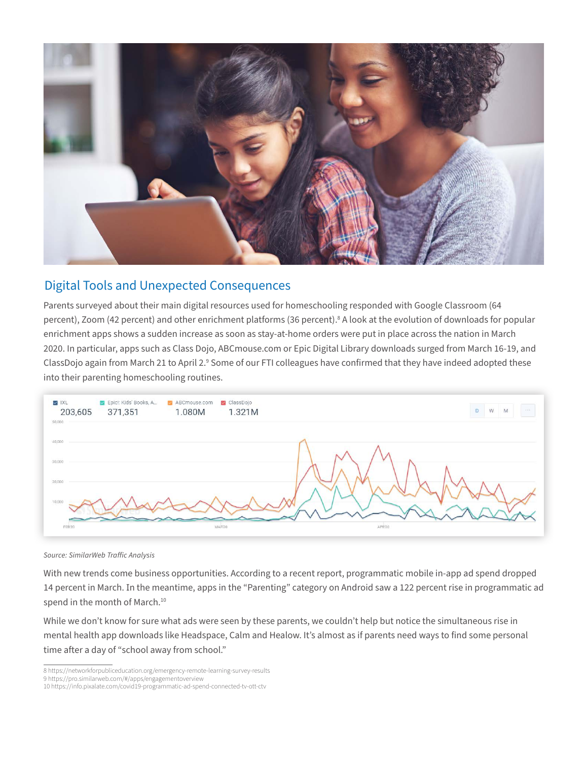

## Digital Tools and Unexpected Consequences

Parents surveyed about their main digital resources used for homeschooling responded with Google Classroom (64 percent), Zoom (42 percent) and other enrichment platforms (36 percent).<sup>8</sup> A look at the evolution of downloads for popular enrichment apps shows a sudden increase as soon as stay-at-home orders were put in place across the nation in March 2020. In particular, apps such as Class Dojo, ABCmouse.com or Epic Digital Library downloads surged from March 16-19, and ClassDojo again from March 21 to April 2.º Some of our FTI colleagues have confirmed that they have indeed adopted these into their parenting homeschooling routines.



*Source: SimilarWeb Traffic Analysis* 

With new trends come business opportunities. According to a recent report, programmatic mobile in-app ad spend dropped 14 percent in March. In the meantime, apps in the "Parenting" category on Android saw a 122 percent rise in programmatic ad spend in the month of March.<sup>10</sup>

While we don't know for sure what ads were seen by these parents, we couldn't help but notice the simultaneous rise in mental health app downloads like Headspace, Calm and Healow. It's almost as if parents need ways to find some personal time after a day of "school away from school."

<sup>8</sup> https://networkforpubliceducation.org/emergency-remote-learning-survey-results

<sup>9</sup> https://pro.similarweb.com/#/apps/engagementoverview

<sup>10</sup> https://info.pixalate.com/covid19-programmatic-ad-spend-connected-tv-ott-ctv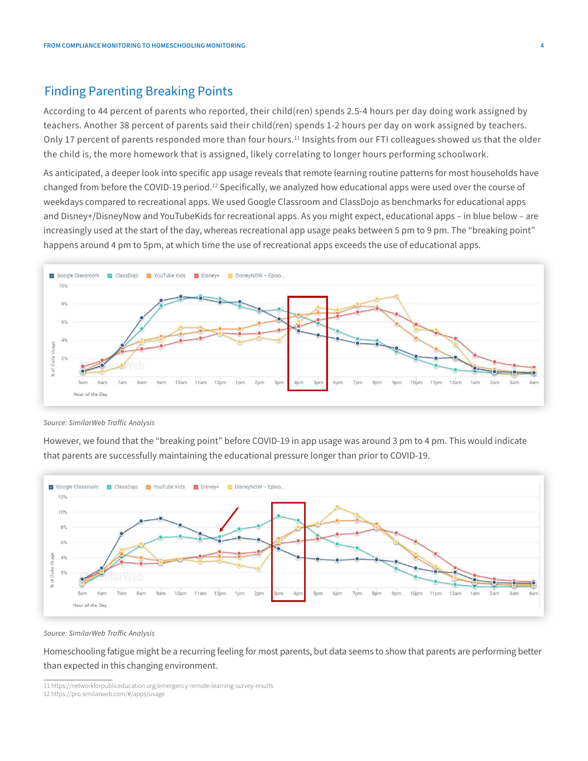## Finding Parenting Breaking Points

According to 44 percent of parents who reported, their child(ren) spends 2.5-4 hours per day doing work assigned by teachers. Another 38 percent of parents said their child(ren) spends 1-2 hours per day on work assigned by teachers. Only 17 percent of parents responded more than four hours.<sup>11</sup> Insights from our FTI colleagues showed us that the older the child is, the more homework that is assigned, likely correlating to longer hours performing schoolwork.

As anticipated, a deeper look into specific app usage reveals that remote learning routine patterns for most households have changed from before the COVID-19 period.<sup>12</sup> Specifically, we analyzed how educational apps were used over the course of weekdays compared to recreational apps. We used Google Classroom and ClassDojo as benchmarks for educational apps and Disney+/DisneyNow and YouTubeKids for recreational apps. As you might expect, educational apps – in blue below – are increasingly used at the start of the day, whereas recreational app usage peaks between 5 pm to 9 pm. The "breaking point" happens around 4 pm to 5pm, at which time the use of recreational apps exceeds the use of educational apps.



*Source: SimilarWeb Traffic Analysis* 

However, we found that the "breaking point" before COVID-19 in app usage was around 3 pm to 4 pm. This would indicate that parents are successfully maintaining the educational pressure longer than prior to COVID-19.



*Source: SimilarWeb Traffic Analysis* 

Homeschooling fatigue might be a recurring feeling for most parents, but data seems to show that parents are performing better than expected in this changing environment.

<sup>11</sup> https://networkforpubliceducation.org/emergency-remote-learning-survey-results

<sup>12</sup> https://pro.similarweb.com/#/apps/usage